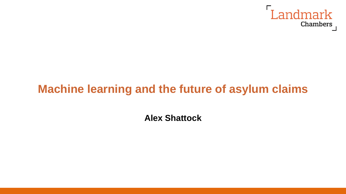

# **Machine learning and the future of asylum claims**

**Alex Shattock**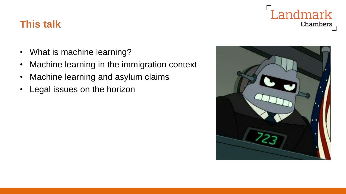# **This talk**

- What is machine learning?
- Machine learning in the immigration context
- Machine learning and asylum claims
- Legal issues on the horizon



Landmark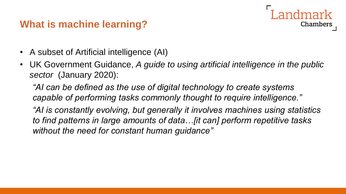# **What is machine learning?**

- A subset of Artificial intelligence (AI)
- UK Government Guidance, *A guide to using artificial intelligence in the public sector* (January 2020):

Chambers

*"AI can be defined as the use of digital technology to create systems capable of performing tasks commonly thought to require intelligence."*

*"AI is constantly evolving, but generally it involves machines using statistics to find patterns in large amounts of data…[it can] perform repetitive tasks without the need for constant human guidance"*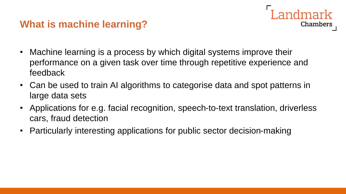# **What is machine learning?**

• Machine learning is a process by which digital systems improve their performance on a given task over time through repetitive experience and feedback

Landmark

- Can be used to train AI algorithms to categorise data and spot patterns in large data sets
- Applications for e.g. facial recognition, speech-to-text translation, driverless cars, fraud detection
- Particularly interesting applications for public sector decision-making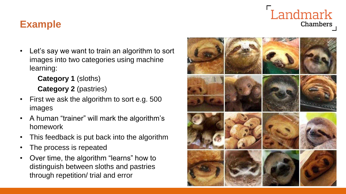# Landmark Chambers

# **Example**

• Let's say we want to train an algorithm to sort images into two categories using machine learning:

> **Category 1** (sloths) **Category 2** (pastries)

- First we ask the algorithm to sort e.g. 500 images
- A human "trainer" will mark the algorithm's homework
- This feedback is put back into the algorithm
- The process is repeated
- Over time, the algorithm "learns" how to distinguish between sloths and pastries through repetition/ trial and error

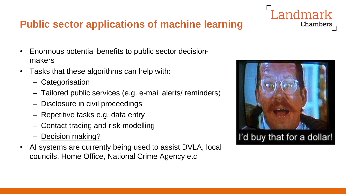# **Public sector applications of machine learning**

- Enormous potential benefits to public sector decisionmakers
- Tasks that these algorithms can help with:
	- Categorisation
	- Tailored public services (e.g. e-mail alerts/ reminders)
	- Disclosure in civil proceedings
	- Repetitive tasks e.g. data entry
	- Contact tracing and risk modelling
	- **Decision making?**
- AI systems are currently being used to assist DVLA, local councils, Home Office, National Crime Agency etc



ndmark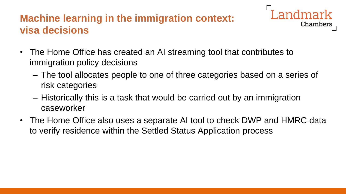# **Machine learning in the immigration context: visa decisions**

- Chambers
- The Home Office has created an AI streaming tool that contributes to immigration policy decisions
	- The tool allocates people to one of three categories based on a series of risk categories
	- Historically this is a task that would be carried out by an immigration caseworker
- The Home Office also uses a separate AI tool to check DWP and HMRC data to verify residence within the Settled Status Application process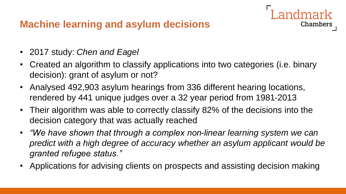# **Machine learning and asylum decisions**

- 2017 study: *Chen and Eagel*
- Created an algorithm to classify applications into two categories (i.e. binary decision): grant of asylum or not?

- Analysed 492,903 asylum hearings from 336 different hearing locations, rendered by 441 unique judges over a 32 year period from 1981-2013
- Their algorithm was able to correctly classify 82% of the decisions into the decision category that was actually reached
- *"We have shown that through a complex non-linear learning system we can predict with a high degree of accuracy whether an asylum applicant would be granted refugee status."*
- Applications for advising clients on prospects and assisting decision making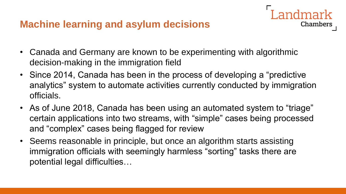#### **Machine learning and asylum decisions**

- Canada and Germany are known to be experimenting with algorithmic decision-making in the immigration field
- Since 2014, Canada has been in the process of developing a "predictive analytics" system to automate activities currently conducted by immigration officials.

- As of June 2018, Canada has been using an automated system to "triage" certain applications into two streams, with "simple" cases being processed and "complex" cases being flagged for review
- Seems reasonable in principle, but once an algorithm starts assisting immigration officials with seemingly harmless "sorting" tasks there are potential legal difficulties…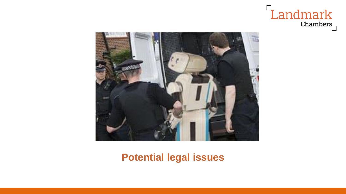



#### **Potential legal issues**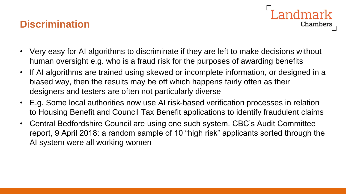#### **Discrimination**

• Very easy for AI algorithms to discriminate if they are left to make decisions without human oversight e.g. who is a fraud risk for the purposes of awarding benefits

andmark

- If AI algorithms are trained using skewed or incomplete information, or designed in a biased way, then the results may be off which happens fairly often as their designers and testers are often not particularly diverse
- E.g. Some local authorities now use AI risk-based verification processes in relation to Housing Benefit and Council Tax Benefit applications to identify fraudulent claims
- Central Bedfordshire Council are using one such system. CBC's Audit Committee report, 9 April 2018: a random sample of 10 "high risk" applicants sorted through the AI system were all working women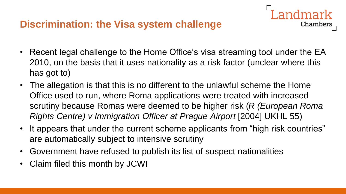# **Discrimination: the Visa system challenge**

• Recent legal challenge to the Home Office's visa streaming tool under the EA 2010, on the basis that it uses nationality as a risk factor (unclear where this has got to)

ndmark

- The allegation is that this is no different to the unlawful scheme the Home Office used to run, where Roma applications were treated with increased scrutiny because Romas were deemed to be higher risk (*R (European Roma Rights Centre) v Immigration Officer at Prague Airport* [2004] UKHL 55)
- It appears that under the current scheme applicants from "high risk countries" are automatically subject to intensive scrutiny
- Government have refused to publish its list of suspect nationalities
- Claim filed this month by JCWI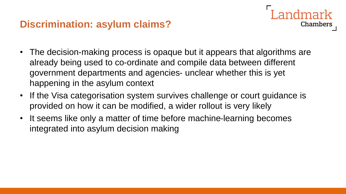# **Discrimination: asylum claims?**

• The decision-making process is opaque but it appears that algorithms are already being used to co-ordinate and compile data between different government departments and agencies- unclear whether this is yet happening in the asylum context

- If the Visa categorisation system survives challenge or court guidance is provided on how it can be modified, a wider rollout is very likely
- It seems like only a matter of time before machine-learning becomes integrated into asylum decision making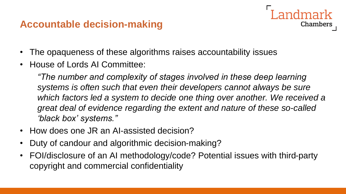#### **Accountable decision-making**



• House of Lords AI Committee:

*"The number and complexity of stages involved in these deep learning systems is often such that even their developers cannot always be sure*  which factors led a system to decide one thing over another. We received a *great deal of evidence regarding the extent and nature of these so-called 'black box' systems."*

- How does one JR an AI-assisted decision?
- Duty of candour and algorithmic decision-making?
- FOI/disclosure of an AI methodology/code? Potential issues with third-party copyright and commercial confidentiality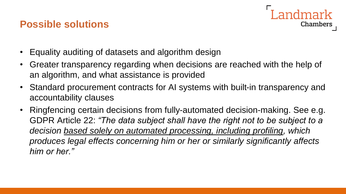#### **Possible solutions**



- Equality auditing of datasets and algorithm design
- Greater transparency regarding when decisions are reached with the help of an algorithm, and what assistance is provided
- Standard procurement contracts for AI systems with built-in transparency and accountability clauses
- Ringfencing certain decisions from fully-automated decision-making. See e.g. GDPR Article 22: *"The data subject shall have the right not to be subject to a decision based solely on automated processing, including profiling, which produces legal effects concerning him or her or similarly significantly affects him or her."*